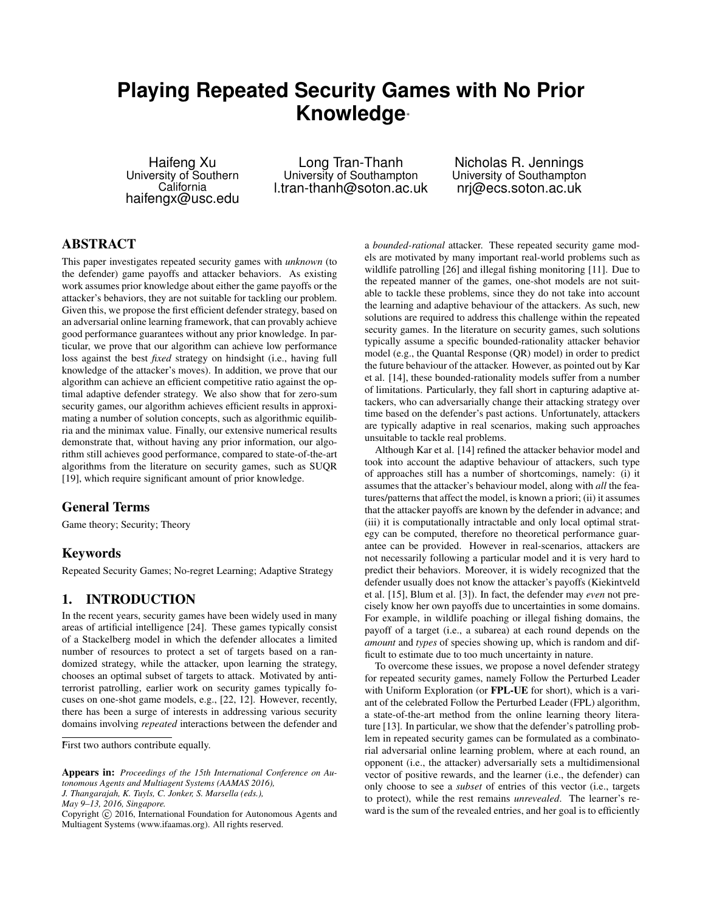# **Playing Repeated Security Games with No Prior Knowledge**⇤

Haifeng Xu University of Southern California haifengx@usc.edu

Long Tran-Thanh University of Southampton l.tran-thanh@soton.ac.uk

Nicholas R. Jennings University of Southampton nrj@ecs.soton.ac.uk

# ABSTRACT

This paper investigates repeated security games with *unknown* (to the defender) game payoffs and attacker behaviors. As existing work assumes prior knowledge about either the game payoffs or the attacker's behaviors, they are not suitable for tackling our problem. Given this, we propose the first efficient defender strategy, based on an adversarial online learning framework, that can provably achieve good performance guarantees without any prior knowledge. In particular, we prove that our algorithm can achieve low performance loss against the best *fixed* strategy on hindsight (i.e., having full knowledge of the attacker's moves). In addition, we prove that our algorithm can achieve an efficient competitive ratio against the optimal adaptive defender strategy. We also show that for zero-sum security games, our algorithm achieves efficient results in approximating a number of solution concepts, such as algorithmic equilibria and the minimax value. Finally, our extensive numerical results demonstrate that, without having any prior information, our algorithm still achieves good performance, compared to state-of-the-art algorithms from the literature on security games, such as SUQR [19], which require significant amount of prior knowledge.

### General Terms

Game theory; Security; Theory

### Keywords

Repeated Security Games; No-regret Learning; Adaptive Strategy

## 1. INTRODUCTION

In the recent years, security games have been widely used in many areas of artificial intelligence [24]. These games typically consist of a Stackelberg model in which the defender allocates a limited number of resources to protect a set of targets based on a randomized strategy, while the attacker, upon learning the strategy, chooses an optimal subset of targets to attack. Motivated by antiterrorist patrolling, earlier work on security games typically focuses on one-shot game models, e.g., [22, 12]. However, recently, there has been a surge of interests in addressing various security domains involving *repeated* interactions between the defender and

*J. Thangarajah, K. Tuyls, C. Jonker, S. Marsella (eds.),*

a *bounded-rational* attacker. These repeated security game models are motivated by many important real-world problems such as wildlife patrolling [26] and illegal fishing monitoring [11]. Due to the repeated manner of the games, one-shot models are not suitable to tackle these problems, since they do not take into account the learning and adaptive behaviour of the attackers. As such, new solutions are required to address this challenge within the repeated security games. In the literature on security games, such solutions typically assume a specific bounded-rationality attacker behavior model (e.g., the Quantal Response (QR) model) in order to predict the future behaviour of the attacker. However, as pointed out by Kar et al. [14], these bounded-rationality models suffer from a number of limitations. Particularly, they fall short in capturing adaptive attackers, who can adversarially change their attacking strategy over time based on the defender's past actions. Unfortunately, attackers are typically adaptive in real scenarios, making such approaches unsuitable to tackle real problems.

Although Kar et al. [14] refined the attacker behavior model and took into account the adaptive behaviour of attackers, such type of approaches still has a number of shortcomings, namely: (i) it assumes that the attacker's behaviour model, along with *all* the features/patterns that affect the model, is known a priori; (ii) it assumes that the attacker payoffs are known by the defender in advance; and (iii) it is computationally intractable and only local optimal strategy can be computed, therefore no theoretical performance guarantee can be provided. However in real-scenarios, attackers are not necessarily following a particular model and it is very hard to predict their behaviors. Moreover, it is widely recognized that the defender usually does not know the attacker's payoffs (Kiekintveld et al. [15], Blum et al. [3]). In fact, the defender may *even* not precisely know her own payoffs due to uncertainties in some domains. For example, in wildlife poaching or illegal fishing domains, the payoff of a target (i.e., a subarea) at each round depends on the *amount* and *types* of species showing up, which is random and difficult to estimate due to too much uncertainty in nature.

To overcome these issues, we propose a novel defender strategy for repeated security games, namely Follow the Perturbed Leader with Uniform Exploration (or FPL-UE for short), which is a variant of the celebrated Follow the Perturbed Leader (FPL) algorithm, a state-of-the-art method from the online learning theory literature [13]. In particular, we show that the defender's patrolling problem in repeated security games can be formulated as a combinatorial adversarial online learning problem, where at each round, an opponent (i.e., the attacker) adversarially sets a multidimensional vector of positive rewards, and the learner (i.e., the defender) can only choose to see a *subset* of entries of this vector (i.e., targets to protect), while the rest remains *unrevealed*. The learner's reward is the sum of the revealed entries, and her goal is to efficiently

First two authors contribute equally.

Appears in: *Proceedings of the 15th International Conference on Autonomous Agents and Multiagent Systems (AAMAS 2016),*

*May 9–13, 2016, Singapore.*

Copyright (C) 2016, International Foundation for Autonomous Agents and Multiagent Systems (www.ifaamas.org). All rights reserved.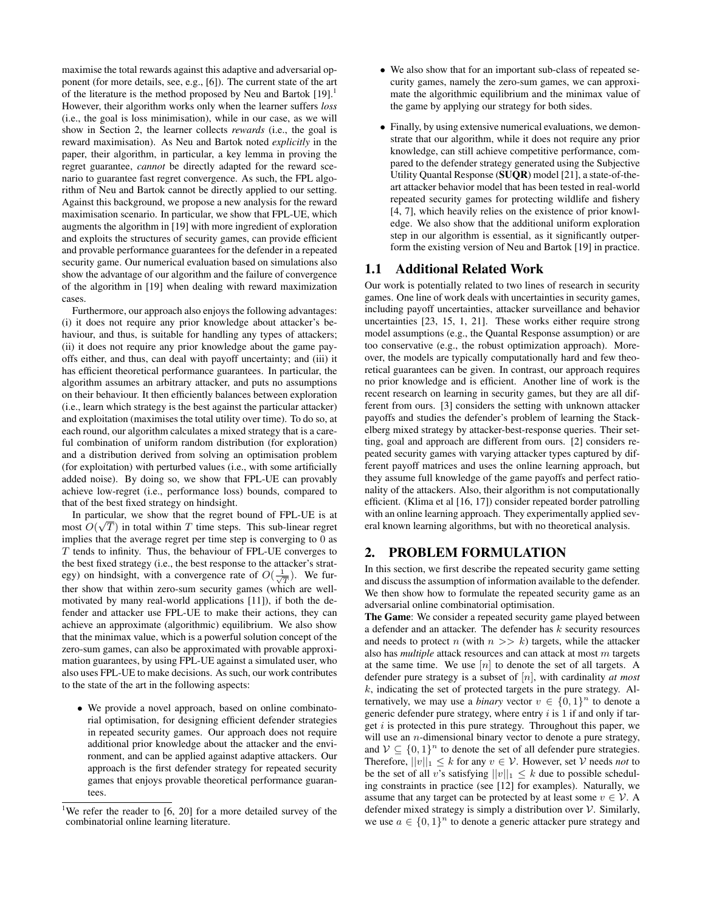maximise the total rewards against this adaptive and adversarial opponent (for more details, see, e.g., [6]). The current state of the art of the literature is the method proposed by Neu and Bartok  $[19]$ <sup>1</sup> However, their algorithm works only when the learner suffers *loss* (i.e., the goal is loss minimisation), while in our case, as we will show in Section 2, the learner collects *rewards* (i.e., the goal is reward maximisation). As Neu and Bartok noted *explicitly* in the paper, their algorithm, in particular, a key lemma in proving the regret guarantee, *cannot* be directly adapted for the reward scenario to guarantee fast regret convergence. As such, the FPL algorithm of Neu and Bartok cannot be directly applied to our setting. Against this background, we propose a new analysis for the reward maximisation scenario. In particular, we show that FPL-UE, which augments the algorithm in [19] with more ingredient of exploration and exploits the structures of security games, can provide efficient and provable performance guarantees for the defender in a repeated security game. Our numerical evaluation based on simulations also show the advantage of our algorithm and the failure of convergence of the algorithm in [19] when dealing with reward maximization cases.

Furthermore, our approach also enjoys the following advantages: (i) it does not require any prior knowledge about attacker's behaviour, and thus, is suitable for handling any types of attackers; (ii) it does not require any prior knowledge about the game payoffs either, and thus, can deal with payoff uncertainty; and (iii) it has efficient theoretical performance guarantees. In particular, the algorithm assumes an arbitrary attacker, and puts no assumptions on their behaviour. It then efficiently balances between exploration (i.e., learn which strategy is the best against the particular attacker) and exploitation (maximises the total utility over time). To do so, at each round, our algorithm calculates a mixed strategy that is a careful combination of uniform random distribution (for exploration) and a distribution derived from solving an optimisation problem (for exploitation) with perturbed values (i.e., with some artificially added noise). By doing so, we show that FPL-UE can provably achieve low-regret (i.e., performance loss) bounds, compared to that of the best fixed strategy on hindsight.

In particular, we show that the regret bound of FPL-UE is at most *O*( <sup>p</sup>*T*) in total within *<sup>T</sup>* time steps. This sub-linear regret implies that the average regret per time step is converging to 0 as *T* tends to infinity. Thus, the behaviour of FPL-UE converges to the best fixed strategy (i.e., the best response to the attacker's strategy) on hindsight, with a convergence rate of  $O(\frac{1}{\sqrt{T}})$ . We further show that within zero-sum security games (which are wellmotivated by many real-world applications [11]), if both the defender and attacker use FPL-UE to make their actions, they can achieve an approximate (algorithmic) equilibrium. We also show that the minimax value, which is a powerful solution concept of the zero-sum games, can also be approximated with provable approximation guarantees, by using FPL-UE against a simulated user, who also uses FPL-UE to make decisions. As such, our work contributes to the state of the art in the following aspects:

*•* We provide a novel approach, based on online combinatorial optimisation, for designing efficient defender strategies in repeated security games. Our approach does not require additional prior knowledge about the attacker and the environment, and can be applied against adaptive attackers. Our approach is the first defender strategy for repeated security games that enjoys provable theoretical performance guarantees.

- *•* We also show that for an important sub-class of repeated security games, namely the zero-sum games, we can approximate the algorithmic equilibrium and the minimax value of the game by applying our strategy for both sides.
- *•* Finally, by using extensive numerical evaluations, we demonstrate that our algorithm, while it does not require any prior knowledge, can still achieve competitive performance, compared to the defender strategy generated using the Subjective Utility Quantal Response (SUQR) model [21], a state-of-theart attacker behavior model that has been tested in real-world repeated security games for protecting wildlife and fishery [4, 7], which heavily relies on the existence of prior knowledge. We also show that the additional uniform exploration step in our algorithm is essential, as it significantly outperform the existing version of Neu and Bartok [19] in practice.

### 1.1 Additional Related Work

Our work is potentially related to two lines of research in security games. One line of work deals with uncertainties in security games, including payoff uncertainties, attacker surveillance and behavior uncertainties [23, 15, 1, 21]. These works either require strong model assumptions (e.g., the Quantal Response assumption) or are too conservative (e.g., the robust optimization approach). Moreover, the models are typically computationally hard and few theoretical guarantees can be given. In contrast, our approach requires no prior knowledge and is efficient. Another line of work is the recent research on learning in security games, but they are all different from ours. [3] considers the setting with unknown attacker payoffs and studies the defender's problem of learning the Stackelberg mixed strategy by attacker-best-response queries. Their setting, goal and approach are different from ours. [2] considers repeated security games with varying attacker types captured by different payoff matrices and uses the online learning approach, but they assume full knowledge of the game payoffs and perfect rationality of the attackers. Also, their algorithm is not computationally efficient. (Klima et al [16, 17]) consider repeated border patrolling with an online learning approach. They experimentally applied several known learning algorithms, but with no theoretical analysis.

### 2. PROBLEM FORMULATION

In this section, we first describe the repeated security game setting and discuss the assumption of information available to the defender. We then show how to formulate the repeated security game as an adversarial online combinatorial optimisation.

The Game: We consider a repeated security game played between a defender and an attacker. The defender has *k* security resources and needs to protect *n* (with  $n \gg k$ ) targets, while the attacker also has *multiple* attack resources and can attack at most *m* targets at the same time. We use [*n*] to denote the set of all targets. A defender pure strategy is a subset of [*n*], with cardinality *at most k*, indicating the set of protected targets in the pure strategy. Alternatively, we may use a *binary* vector  $v \in \{0, 1\}^n$  to denote a generic defender pure strategy, where entry *i* is 1 if and only if target *i* is protected in this pure strategy. Throughout this paper, we will use an *n*-dimensional binary vector to denote a pure strategy, and  $V \subseteq \{0,1\}^n$  to denote the set of all defender pure strategies. Therefore,  $||v||_1 \leq k$  for any  $v \in V$ . However, set V needs *not* to be the set of all *v*'s satisfying  $||v||_1 \leq k$  due to possible scheduling constraints in practice (see [12] for examples). Naturally, we assume that any target can be protected by at least some  $v \in V$ . A defender mixed strategy is simply a distribution over *V*. Similarly, we use  $a \in \{0,1\}^n$  to denote a generic attacker pure strategy and

<sup>&</sup>lt;sup>1</sup>We refer the reader to [6, 20] for a more detailed survey of the combinatorial online learning literature.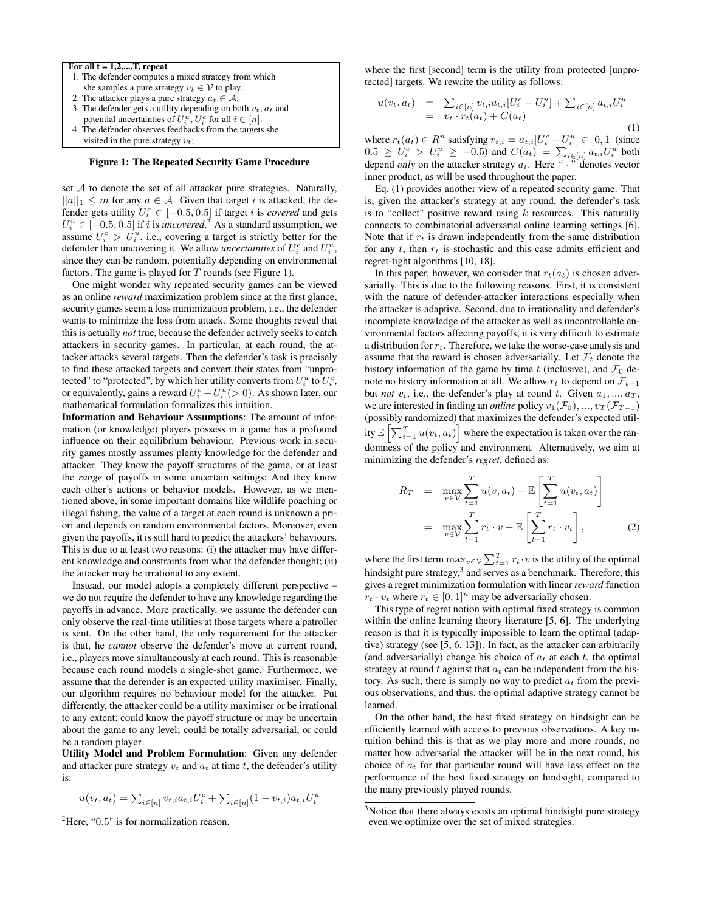#### For all  $t = 1, 2, \ldots, T$ , repeat

- 1. The defender computes a mixed strategy from which she samples a pure strategy  $v_t \in V$  to play.
- 2. The attacker plays a pure strategy  $a_t \in \mathcal{A}$ ;
- 3. The defender gets a utility depending on both  $v_t$ ,  $a_t$  and potential uncertainties of  $U_i^u$ ,  $U_i^c$  for all  $i \in [n]$ .
- 4. The defender observes feedbacks from the targets she visited in the pure strategy *vt*;

#### Figure 1: The Repeated Security Game Procedure

set *A* to denote the set of all attacker pure strategies. Naturally,  $||a||_1 \le m$  for any  $a \in \mathcal{A}$ . Given that target *i* is attacked, the defender gets utility  $U_i^c \in [-0.5, 0.5]$  if target *i* is *covered* and gets  $U_i^u \in [-0.5, 0.5]$  if *i* is *uncovered*.<sup>2</sup> As a standard assumption, we assume  $U_i^c > U_i^u$ , i.e., covering a target is strictly better for the defender than uncovering it. We allow *uncertainties* of  $U_i^c$  and  $U_i^u$ , since they can be random, potentially depending on environmental factors. The game is played for *T* rounds (see Figure 1).

One might wonder why repeated security games can be viewed as an online *reward* maximization problem since at the first glance, security games seem a loss minimization problem, i.e., the defender wants to minimize the loss from attack. Some thoughts reveal that this is actually *not* true, because the defender actively seeks to catch attackers in security games. In particular, at each round, the attacker attacks several targets. Then the defender's task is precisely to find these attacked targets and convert their states from "unprotected" to "protected", by which her utility converts from  $U_i^u$  to  $U_i^c$ , or equivalently, gains a reward  $U_i^c - U_i^u (> 0)$ . As shown later, our mathematical formulation formalizes this intuition.

Information and Behaviour Assumptions: The amount of information (or knowledge) players possess in a game has a profound influence on their equilibrium behaviour. Previous work in security games mostly assumes plenty knowledge for the defender and attacker. They know the payoff structures of the game, or at least the *range* of payoffs in some uncertain settings; And they know each other's actions or behavior models. However, as we mentioned above, in some important domains like wildlife poaching or illegal fishing, the value of a target at each round is unknown a priori and depends on random environmental factors. Moreover, even given the payoffs, it is still hard to predict the attackers' behaviours. This is due to at least two reasons: (i) the attacker may have different knowledge and constraints from what the defender thought; (ii) the attacker may be irrational to any extent.

Instead, our model adopts a completely different perspective – we do not require the defender to have any knowledge regarding the payoffs in advance. More practically, we assume the defender can only observe the real-time utilities at those targets where a patroller is sent. On the other hand, the only requirement for the attacker is that, he *cannot* observe the defender's move at current round, i.e., players move simultaneously at each round. This is reasonable because each round models a single-shot game. Furthermore, we assume that the defender is an expected utility maximiser. Finally, our algorithm requires no behaviour model for the attacker. Put differently, the attacker could be a utility maximiser or be irrational to any extent; could know the payoff structure or may be uncertain about the game to any level; could be totally adversarial, or could be a random player.

Utility Model and Problem Formulation: Given any defender and attacker pure strategy  $v_t$  and  $a_t$  at time  $t$ , the defender's utility is:

$$
u(v_t, a_t) = \sum_{i \in [n]} v_{t,i} a_{t,i} U_i^c + \sum_{i \in [n]} (1 - v_{t,i}) a_{t,i} U_i^u
$$

where the first [second] term is the utility from protected [unprotected] targets. We rewrite the utility as follows:

$$
u(v_t, a_t) = \sum_{i \in [n]} v_{t,i} a_{t,i} [U_i^c - U_i^u] + \sum_{i \in [n]} a_{t,i} U_i^u
$$
  
= 
$$
v_t \cdot r_t(a_t) + C(a_t)
$$
 (1)

where  $r_t(a_t) \in R^n$  satisfying  $r_{t,i} = a_{t,i}[U_i^c - U_i^u] \in [0,1]$  (since  $0.5 \ge U_i^c > U_i^u \ge -0.5$ ) and  $C(a_t) = \sum_{i \in [n]} a_{t,i} U_i^u$  both depend *only* on the attacker strategy  $a_t$ . Here " $\cdot$  " denotes vector inner product, as will be used throughout the paper.

Eq. (1) provides another view of a repeated security game. That is, given the attacker's strategy at any round, the defender's task is to "collect" positive reward using *k* resources. This naturally connects to combinatorial adversarial online learning settings [6]. Note that if  $r_t$  is drawn independently from the same distribution for any  $t$ , then  $r_t$  is stochastic and this case admits efficient and regret-tight algorithms [10, 18].

In this paper, however, we consider that  $r_t(a_t)$  is chosen adversarially. This is due to the following reasons. First, it is consistent with the nature of defender-attacker interactions especially when the attacker is adaptive. Second, due to irrationality and defender's incomplete knowledge of the attacker as well as uncontrollable environmental factors affecting payoffs, it is very difficult to estimate a distribution for *rt*. Therefore, we take the worse-case analysis and assume that the reward is chosen adversarially. Let  $\mathcal{F}_t$  denote the history information of the game by time  $t$  (inclusive), and  $\mathcal{F}_0$  denote no history information at all. We allow  $r_t$  to depend on  $\mathcal{F}_{t-1}$ but *not*  $v_t$ , i.e., the defender's play at round  $t$ . Given  $a_1, ..., a_T$ , we are interested in finding an *online* policy  $v_1(\mathcal{F}_0), ..., v_T(\mathcal{F}_{T-1})$ (possibly randomized) that maximizes the defender's expected utility  $\mathbb{E}\left[\sum_{t=1}^T u(v_t, a_t)\right]$  where the expectation is taken over the randomness of the policy and environment. Alternatively, we aim at minimizing the defender's *regret*, defined as:

$$
R_T = \max_{v \in \mathcal{V}} \sum_{t=1}^T u(v, a_t) - \mathbb{E} \left[ \sum_{t=1}^T u(v_t, a_t) \right]
$$

$$
= \max_{v \in \mathcal{V}} \sum_{t=1}^T r_t \cdot v - \mathbb{E} \left[ \sum_{t=1}^T r_t \cdot v_t \right], \tag{2}
$$

where the first term  $\max_{v \in V} \sum_{t=1}^{T} r_t \cdot v$  is the utility of the optimal hindsight pure strategy, $3$  and serves as a benchmark. Therefore, this gives a regret minimization formulation with linear *reward* function  $r_t \cdot v_t$  where  $r_t \in [0, 1]^n$  may be adversarially chosen.

This type of regret notion with optimal fixed strategy is common within the online learning theory literature [5, 6]. The underlying reason is that it is typically impossible to learn the optimal (adaptive) strategy (see [5, 6, 13]). In fact, as the attacker can arbitrarily (and adversarially) change his choice of  $a_t$  at each  $t$ , the optimal strategy at round *t* against that *a<sup>t</sup>* can be independent from the history. As such, there is simply no way to predict  $a_t$  from the previous observations, and thus, the optimal adaptive strategy cannot be learned.

On the other hand, the best fixed strategy on hindsight can be efficiently learned with access to previous observations. A key intuition behind this is that as we play more and more rounds, no matter how adversarial the attacker will be in the next round, his choice of *a<sup>t</sup>* for that particular round will have less effect on the performance of the best fixed strategy on hindsight, compared to the many previously played rounds.

<sup>&</sup>lt;sup>2</sup>Here, "0.5" is for normalization reason.

<sup>&</sup>lt;sup>3</sup>Notice that there always exists an optimal hindsight pure strategy even we optimize over the set of mixed strategies.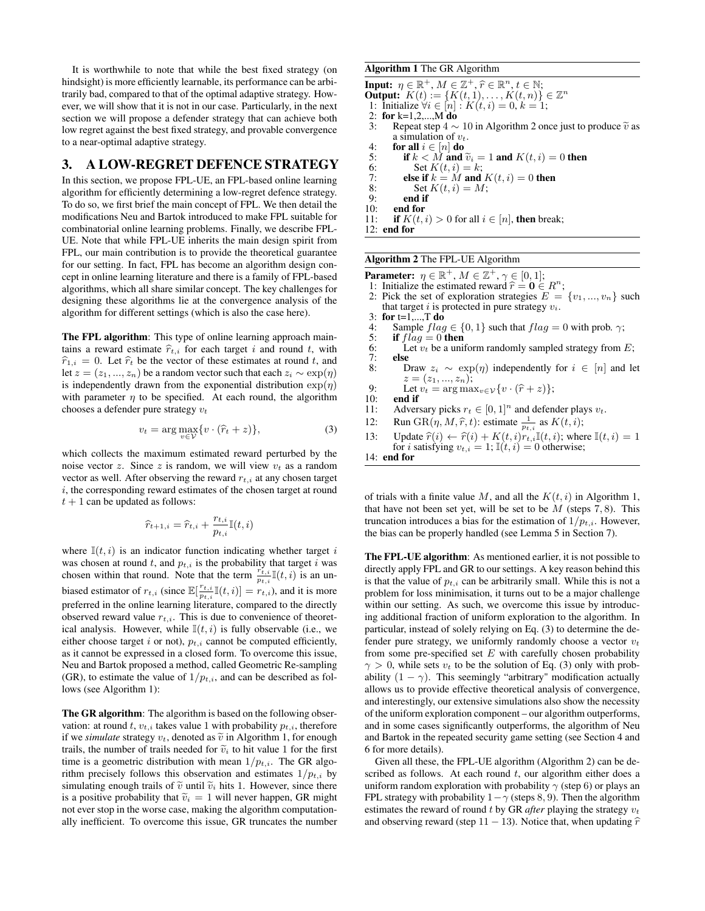It is worthwhile to note that while the best fixed strategy (on hindsight) is more efficiently learnable, its performance can be arbitrarily bad, compared to that of the optimal adaptive strategy. However, we will show that it is not in our case. Particularly, in the next section we will propose a defender strategy that can achieve both low regret against the best fixed strategy, and provable convergence to a near-optimal adaptive strategy.

# 3. A LOW-REGRET DEFENCE STRATEGY

In this section, we propose FPL-UE, an FPL-based online learning algorithm for efficiently determining a low-regret defence strategy. To do so, we first brief the main concept of FPL. We then detail the modifications Neu and Bartok introduced to make FPL suitable for combinatorial online learning problems. Finally, we describe FPL-UE. Note that while FPL-UE inherits the main design spirit from FPL, our main contribution is to provide the theoretical guarantee for our setting. In fact, FPL has become an algorithm design concept in online learning literature and there is a family of FPL-based algorithms, which all share similar concept. The key challenges for designing these algorithms lie at the convergence analysis of the algorithm for different settings (which is also the case here).

The FPL algorithm: This type of online learning approach maintains a reward estimate  $\hat{r}_{t,i}$  for each target *i* and round *t*, with  $\hat{r}_{1,i} = 0$ . Let  $\hat{r}_t$  be the vector of these estimates at round *t*, and let  $z = (z_1, ..., z_n)$  be a random vector such that each  $z_i \sim \exp(\eta)$ is independently drawn from the exponential distribution  $\exp(\eta)$ with parameter  $\eta$  to be specified. At each round, the algorithm chooses a defender pure strategy *v<sup>t</sup>*

$$
v_t = \arg\max_{v \in \mathcal{V}} \{ v \cdot (\hat{r}_t + z) \},\tag{3}
$$

which collects the maximum estimated reward perturbed by the noise vector *z*. Since *z* is random, we will view  $v_t$  as a random vector as well. After observing the reward  $r_{t,i}$  at any chosen target *i*, the corresponding reward estimates of the chosen target at round  $t + 1$  can be updated as follows:

$$
\widehat{r}_{t+1,i} = \widehat{r}_{t,i} + \frac{r_{t,i}}{p_{t,i}}\mathbb{I}(t,i)
$$

where  $\mathbb{I}(t, i)$  is an indicator function indicating whether target *i* was chosen at round  $t$ , and  $p_{t,i}$  is the probability that target  $i$  was chosen within that round. Note that the term  $\frac{r_{t,i}}{p_{t,i}}\mathbb{I}(t,i)$  is an unbiased estimator of  $r_{t,i}$  (since  $\mathbb{E}[\frac{r_{t,i}}{p_{t,i}}\mathbb{I}(t,i)] = r_{t,i}$ ), and it is more preferred in the online learning literature, compared to the directly observed reward value  $r_{t,i}$ . This is due to convenience of theoretical analysis. However, while  $\mathbb{I}(t, i)$  is fully observable (i.e., we either choose target  $i$  or not),  $p_{t,i}$  cannot be computed efficiently, as it cannot be expressed in a closed form. To overcome this issue, Neu and Bartok proposed a method, called Geometric Re-sampling (GR), to estimate the value of  $1/p_{t,i}$ , and can be described as follows (see Algorithm 1):

The GR algorithm: The algorithm is based on the following observation: at round  $t$ ,  $v_{t,i}$  takes value 1 with probability  $p_{t,i}$ , therefore if we *simulate* strategy  $v_t$ , denoted as  $\tilde{v}$  in Algorithm 1, for enough trails, the number of trails needed for  $\tilde{v}_i$  to hit value 1 for the first time is a geometric distribution with mean  $1/p_{t,i}$ . The GR algorithm precisely follows this observation and estimates  $1/p_{t,i}$  by simulating enough trails of  $\tilde{v}$  until  $\tilde{v}_i$  hits 1. However, since there is a positive probability that  $\tilde{v}_i = 1$  will never happen, GR might not ever stop in the worse case, making the algorithm computationally inefficient. To overcome this issue, GR truncates the number

#### Algorithm 1 The GR Algorithm

**Input:**  $\eta \in \mathbb{R}^+, M \in \mathbb{Z}^+, \hat{r} \in \mathbb{R}^n, t \in \mathbb{N};$ <br> **Output:**  $K(t) := \{K(t, 1), ..., K(t, n)\} \in \mathbb{Z}^n$ 1: Initialize  $\forall i \in [n] : K(t, i) = 0, k = 1;$ 2: for k=1,2,...,M do<br>3: Repeat step  $4 \sim$ 3: Repeat step  $4 \sim 10$  in Algorithm 2 once just to produce  $\tilde{v}$  as a simulation of  $v_t$ .<br>4: **for all**  $i \in [n]$  **do**<br>5: **if**  $k < M$  **and**  $\tilde{v}_i = 1$  **and**  $K(t, i) = 0$  **then** 5: if  $k < M$  and  $\tilde{v}_i = 1$  and  $K(t, i) = 0$  then<br>6: Set  $K(t, i) = k$ ; Set  $K(t, i) = k$ ;

7: **else if**  $k = M$  and  $K(t, i) = 0$  then<br>8: **Set**  $K(t, i) = M$ :

8: Set  $K(t, i) = M$ ;<br>9: end if

- 9: end if  $10$ : end for
- 10: **end for** 11: **if**  $K(t)$ .

if  $K(t, i) > 0$  for all  $i \in [n]$ , then break;

12: end for

#### Algorithm 2 The FPL-UE Algorithm

- **Parameter:**  $\eta \in \mathbb{R}^+, M \in \mathbb{Z}^+, \gamma \in [0, 1];$
- 1: Initialize the estimated reward  $\hat{r} = 0 \in R^n$ ;<br>2: Pick the set of exploration strategies  $E =$
- Pick the set of exploration strategies  $E = \{v_1, ..., v_n\}$  such that target *i* is protected in pure strategy  $v_i$ .<br>3: **for** t=1,...,**T** do<br>4: Sample  $flag \in \{0, 1\}$  such that  $flag =$
- 
- 4: Sample  $flag \in \{0, 1\}$  such that  $flag = 0$  with prob.  $\gamma$ ;<br>5: **if**  $flag = 0$  **then**
- 5: **if**  $flag = 0$  then<br>6: Let  $v_t$  be a unit
- 6: Let  $v_t$  be a uniform randomly sampled strategy from *E*;<br>7: **else**
- 7: else Draw  $z_i \sim \exp(\eta)$  independently for  $i \in [n]$  and let  $z = (z_1, ..., z_n);$
- 9: Let  $v_t = \arg \max_{v \in \mathcal{V}} \{v \cdot (\hat{r} + z)\};$ <br>10: **end if**
- 10: **end if**<br>11: Advers
- 11: Adversary picks  $r_t \in [0, 1]^n$  and defender plays  $v_t$ .<br>12: Run GR( $\eta$ ,  $M$ ,  $\hat{r}$ ,  $t$ ): estimate  $\frac{1}{r}$  as  $K(t, i)$ ;
- 12: Run  $\text{GR}(\eta, M, \hat{r}, t)$ : estimate  $\frac{1}{p_{t,i}}$  as  $K(t, i)$ ;
- 13: Update  $\hat{r}(i) \leftarrow \hat{r}(i) + K(t, i)r_t$ ,  $\mathbb{I}(t, i)$ ; where  $\mathbb{I}(t, i) = 1$  for *i* satisfying  $v_{t,i} = 1$ ;  $\mathbb{I}(t, i) = 0$  otherwise;

14: end for

of trials with a finite value M, and all the  $K(t, i)$  in Algorithm 1, that have not been set yet, will be set to be *M* (steps 7*,* 8). This truncation introduces a bias for the estimation of  $1/p_{t,i}$ . However, the bias can be properly handled (see Lemma 5 in Section 7).

The FPL-UE algorithm: As mentioned earlier, it is not possible to directly apply FPL and GR to our settings. A key reason behind this is that the value of  $p_{t,i}$  can be arbitrarily small. While this is not a problem for loss minimisation, it turns out to be a major challenge within our setting. As such, we overcome this issue by introducing additional fraction of uniform exploration to the algorithm. In particular, instead of solely relying on Eq. (3) to determine the defender pure strategy, we uniformly randomly choose a vector  $v_t$ from some pre-specified set *E* with carefully chosen probability  $\gamma > 0$ , while sets  $v_t$  to be the solution of Eq. (3) only with probability  $(1 - \gamma)$ . This seemingly "arbitrary" modification actually allows us to provide effective theoretical analysis of convergence, and interestingly, our extensive simulations also show the necessity of the uniform exploration component – our algorithm outperforms, and in some cases significantly outperforms, the algorithm of Neu and Bartok in the repeated security game setting (see Section 4 and 6 for more details).

Given all these, the FPL-UE algorithm (Algorithm 2) can be described as follows. At each round *t*, our algorithm either does a uniform random exploration with probability  $\gamma$  (step 6) or plays an FPL strategy with probability  $1 - \gamma$  (steps 8, 9). Then the algorithm estimates the reward of round *t* by GR *after* playing the strategy *v<sup>t</sup>* and observing reward (step  $11 - 13$ ). Notice that, when updating  $\hat{r}$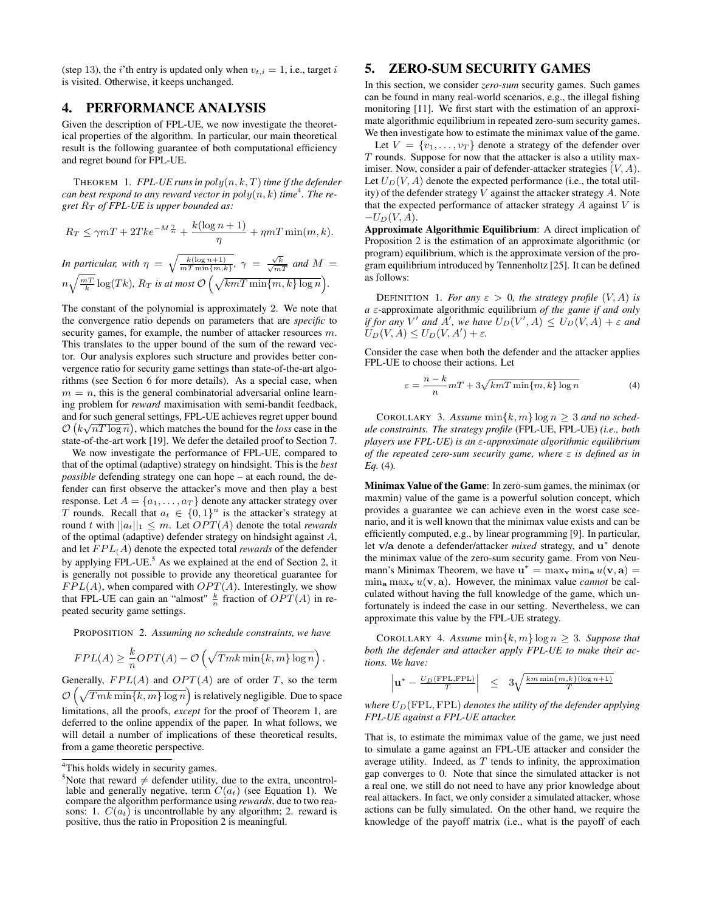(step 13), the *i*'th entry is updated only when  $v_{t,i} = 1$ , i.e., target *i* is visited. Otherwise, it keeps unchanged.

# 4. PERFORMANCE ANALYSIS

Given the description of FPL-UE, we now investigate the theoretical properties of the algorithm. In particular, our main theoretical result is the following guarantee of both computational efficiency and regret bound for FPL-UE.

THEOREM 1. *FPL-UE runs in poly*(*n, k, T*)*time if the defender*  $c$ *an best respond to any reward vector in*  $poly(n, k)$  *time<sup>4</sup>. The regret R<sup>T</sup> of FPL-UE is upper bounded as:*

$$
R_T \le \gamma mT + 2Tke^{-M\frac{\gamma}{n}} + \frac{k(\log n + 1)}{\eta} + \eta mT \min(m, k).
$$

In particular, with 
$$
\eta = \sqrt{\frac{k(\log n + 1)}{mT \min\{m, k\}}}
$$
,  $\gamma = \frac{\sqrt{k}}{\sqrt{mT}}$  and  $M = n\sqrt{\frac{mT}{k}} \log(Tk)$ ,  $R_T$  is at most  $\mathcal{O}\left(\sqrt{kmT \min\{m, k\} \log n}\right)$ .

The constant of the polynomial is approximately 2. We note that the convergence ratio depends on parameters that are *specific* to security games, for example, the number of attacker resources *m*. This translates to the upper bound of the sum of the reward vector. Our analysis explores such structure and provides better convergence ratio for security game settings than state-of-the-art algorithms (see Section 6 for more details). As a special case, when  $m = n$ , this is the general combinatorial adversarial online learning problem for *reward* maximisation with semi-bandit feedback, and for such general settings, FPL-UE achieves regret upper bound  $O(k\sqrt{nT \log n})$ , which matches the bound for the *loss* case in the state-of-the-art work [19]. We defer the detailed proof to Section 7.

We now investigate the performance of FPL-UE, compared to that of the optimal (adaptive) strategy on hindsight. This is the *best possible* defending strategy one can hope – at each round, the defender can first observe the attacker's move and then play a best response. Let  $A = \{a_1, \ldots, a_T\}$  denote any attacker strategy over *T* rounds. Recall that  $a_t \in \{0,1\}^n$  is the attacker's strategy at round *t* with  $||a_t||_1 \leq m$ . Let  $OPT(A)$  denote the total *rewards* of the optimal (adaptive) defender strategy on hindsight against *A*, and let  $FPL(A)$  denote the expected total *rewards* of the defender by applying FPL-UE.<sup>5</sup> As we explained at the end of Section 2, it is generally not possible to provide any theoretical guarantee for *FPL*(*A*), when compared with *OPT*(*A*). Interestingly, we show that FPL-UE can gain an "almost"  $\frac{k}{n}$  fraction of  $OPT(A)$  in repeated security game settings.

PROPOSITION 2. *Assuming no schedule constraints, we have*

$$
FPL(A) \geq \frac{k}{n} OPT(A) - \mathcal{O}\left(\sqrt{Tmk \min\{k, m\} \log n}\right)
$$

*.*

Generally,  $FPL(A)$  and  $OPT(A)$  are of order *T*, so the term  $\mathcal{O}\left(\sqrt{Tmk \min\{k,m\}\log n}\right)$  is relatively negligible. Due to space limitations, all the proofs, *except* for the proof of Theorem 1, are deferred to the online appendix of the paper. In what follows, we will detail a number of implications of these theoretical results, from a game theoretic perspective.

### 5. ZERO-SUM SECURITY GAMES

In this section, we consider *zero-sum* security games. Such games can be found in many real-world scenarios, e.g., the illegal fishing monitoring [11]. We first start with the estimation of an approximate algorithmic equilibrium in repeated zero-sum security games. We then investigate how to estimate the minimax value of the game.

Let  $V = \{v_1, \ldots, v_T\}$  denote a strategy of the defender over *T* rounds. Suppose for now that the attacker is also a utility maximiser. Now, consider a pair of defender-attacker strategies (*V,A*). Let  $U_D(V, A)$  denote the expected performance (i.e., the total utility) of the defender strategy *V* against the attacker strategy *A*. Note that the expected performance of attacker strategy *A* against *V* is  $-U_D(V, A)$ .

Approximate Algorithmic Equilibrium: A direct implication of Proposition 2 is the estimation of an approximate algorithmic (or program) equilibrium, which is the approximate version of the program equilibrium introduced by Tennenholtz [25]. It can be defined as follows:

DEFINITION 1. For any  $\varepsilon > 0$ , the strategy profile  $(V, A)$  is  $a \varepsilon$ -approximate algorithmic equilibrium *of the game if and only if for any*  $V'$  *and*  $A'$ , we have  $U_D(V', A) \leq U_D(V, A) + \varepsilon$  and  $U_D(V, A) \le U_D(V, A') + \varepsilon.$ 

Consider the case when both the defender and the attacker applies FPL-UE to choose their actions. Let

$$
\varepsilon = \frac{n-k}{n} mT + 3\sqrt{kmT \min\{m, k\} \log n}
$$
 (4)

COROLLARY 3. Assume  $\min\{k, m\} \log n \geq 3$  and no sched*ule constraints. The strategy profile* (FPL-UE, FPL-UE) *(i.e., both players use FPL-UE) is an ε-approximate algorithmic equilibrium of the repeated zero-sum security game, where*  $\varepsilon$  *is defined as in Eq.* (4)*.*

Minimax Value of the Game: In zero-sum games, the minimax (or maxmin) value of the game is a powerful solution concept, which provides a guarantee we can achieve even in the worst case scenario, and it is well known that the minimax value exists and can be efficiently computed, e.g., by linear programming [9]. In particular, let v/a denote a defender/attacker *mixed* strategy, and  $u^*$  denote the minimax value of the zero-sum security game. From von Neumann's Minimax Theorem, we have  $\mathbf{u}^* = \max_{\mathbf{v}} \min_{\mathbf{a}} u(\mathbf{v}, \mathbf{a}) =$  $\min_{\mathbf{a}} \max_{\mathbf{v}} u(\mathbf{v}, \mathbf{a})$ . However, the minimax value *cannot* be calculated without having the full knowledge of the game, which unfortunately is indeed the case in our setting. Nevertheless, we can approximate this value by the FPL-UE strategy.

COROLLARY 4. Assume  $\min\{k, m\}$  log  $n \geq 3$ . Suppose that *both the defender and attacker apply FPL-UE to make their actions. We have:*

$$
\left|\mathbf{u}^*-\frac{U_D\left(\text{FPL},\text{FPL}\right)}{T}\right| ~\leq ~ 3\sqrt{\frac{km\min\{m,k\}(\log n+1)}{T}}
$$

*where*  $U_D$ (FPL, FPL) *denotes the utility of the defender applying FPL-UE against a FPL-UE attacker.*

That is, to estimate the mimimax value of the game, we just need to simulate a game against an FPL-UE attacker and consider the average utility. Indeed, as *T* tends to infinity, the approximation gap converges to 0. Note that since the simulated attacker is not a real one, we still do not need to have any prior knowledge about real attackers. In fact, we only consider a simulated attacker, whose actions can be fully simulated. On the other hand, we require the knowledge of the payoff matrix (i.e., what is the payoff of each

<sup>&</sup>lt;sup>4</sup>This holds widely in security games.

S Note that reward  $\neq$  defender utility, due to the extra, uncontrollable and generally negative, term  $C(a_t)$  (see Equation 1). We compare the algorithm performance using *rewards*, due to two reasons: 1.  $C(a_t)$  is uncontrollable by any algorithm; 2. reward is positive, thus the ratio in Proposition 2 is meaningful.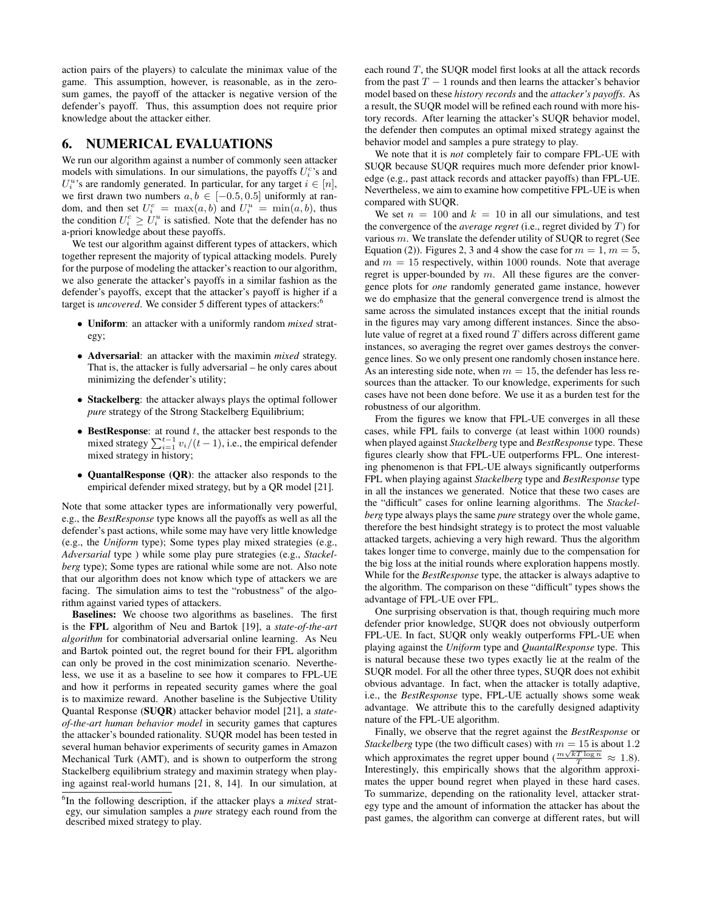action pairs of the players) to calculate the minimax value of the game. This assumption, however, is reasonable, as in the zerosum games, the payoff of the attacker is negative version of the defender's payoff. Thus, this assumption does not require prior knowledge about the attacker either.

### 6. NUMERICAL EVALUATIONS

We run our algorithm against a number of commonly seen attacker models with simulations. In our simulations, the payoffs  $U_i^c$ 's and  $U_i^u$ 's are randomly generated. In particular, for any target  $i \in [n]$ , we first drawn two numbers  $a, b \in [-0.5, 0.5]$  uniformly at random, and then set  $U_i^c = \max(a, b)$  and  $U_i^u = \min(a, b)$ , thus the condition  $U_i^c \geq U_i^u$  is satisfied. Note that the defender has no a-priori knowledge about these payoffs.

We test our algorithm against different types of attackers, which together represent the majority of typical attacking models. Purely for the purpose of modeling the attacker's reaction to our algorithm, we also generate the attacker's payoffs in a similar fashion as the defender's payoffs, except that the attacker's payoff is higher if a target is *uncovered*. We consider 5 different types of attackers:<sup>6</sup>

- *•* Uniform: an attacker with a uniformly random *mixed* strategy;
- *•* Adversarial: an attacker with the maximin *mixed* strategy. That is, the attacker is fully adversarial – he only cares about minimizing the defender's utility;
- *•* Stackelberg: the attacker always plays the optimal follower *pure* strategy of the Strong Stackelberg Equilibrium;
- BestResponse: at round *t*, the attacker best responds to the mixed strategy  $\sum_{i=1}^{t-1} v_i/(t-1)$ , i.e., the empirical defender mixed strategy in history;
- *•* QuantalResponse (QR): the attacker also responds to the empirical defender mixed strategy, but by a QR model [21].

Note that some attacker types are informationally very powerful, e.g., the *BestResponse* type knows all the payoffs as well as all the defender's past actions, while some may have very little knowledge (e.g., the *Uniform* type); Some types play mixed strategies (e.g., *Adversarial* type ) while some play pure strategies (e.g., *Stackelberg* type); Some types are rational while some are not. Also note that our algorithm does not know which type of attackers we are facing. The simulation aims to test the "robustness" of the algorithm against varied types of attackers.

Baselines: We choose two algorithms as baselines. The first is the FPL algorithm of Neu and Bartok [19], a *state-of-the-art algorithm* for combinatorial adversarial online learning. As Neu and Bartok pointed out, the regret bound for their FPL algorithm can only be proved in the cost minimization scenario. Nevertheless, we use it as a baseline to see how it compares to FPL-UE and how it performs in repeated security games where the goal is to maximize reward. Another baseline is the Subjective Utility Quantal Response (SUQR) attacker behavior model [21], a *stateof-the-art human behavior model* in security games that captures the attacker's bounded rationality. SUQR model has been tested in several human behavior experiments of security games in Amazon Mechanical Turk (AMT), and is shown to outperform the strong Stackelberg equilibrium strategy and maximin strategy when playing against real-world humans [21, 8, 14]. In our simulation, at

each round *T*, the SUQR model first looks at all the attack records from the past  $T - 1$  rounds and then learns the attacker's behavior model based on these *history records* and the *attacker's payoffs*. As a result, the SUQR model will be refined each round with more history records. After learning the attacker's SUQR behavior model, the defender then computes an optimal mixed strategy against the behavior model and samples a pure strategy to play.

We note that it is *not* completely fair to compare FPL-UE with SUQR because SUQR requires much more defender prior knowledge (e.g., past attack records and attacker payoffs) than FPL-UE. Nevertheless, we aim to examine how competitive FPL-UE is when compared with SUQR.

We set  $n = 100$  and  $k = 10$  in all our simulations, and test the convergence of the *average regret* (i.e., regret divided by *T*) for various *m*. We translate the defender utility of SUQR to regret (See Equation (2)). Figures 2, 3 and 4 show the case for  $m = 1, m = 5$ , and  $m = 15$  respectively, within 1000 rounds. Note that average regret is upper-bounded by *m*. All these figures are the convergence plots for *one* randomly generated game instance, however we do emphasize that the general convergence trend is almost the same across the simulated instances except that the initial rounds in the figures may vary among different instances. Since the absolute value of regret at a fixed round *T* differs across different game instances, so averaging the regret over games destroys the convergence lines. So we only present one randomly chosen instance here. As an interesting side note, when  $m = 15$ , the defender has less resources than the attacker. To our knowledge, experiments for such cases have not been done before. We use it as a burden test for the robustness of our algorithm.

From the figures we know that FPL-UE converges in all these cases, while FPL fails to converge (at least within 1000 rounds) when played against *Stackelberg* type and *BestResponse* type. These figures clearly show that FPL-UE outperforms FPL. One interesting phenomenon is that FPL-UE always significantly outperforms FPL when playing against *Stackelberg* type and *BestResponse* type in all the instances we generated. Notice that these two cases are the "difficult" cases for online learning algorithms. The *Stackelberg* type always plays the same *pure* strategy over the whole game, therefore the best hindsight strategy is to protect the most valuable attacked targets, achieving a very high reward. Thus the algorithm takes longer time to converge, mainly due to the compensation for the big loss at the initial rounds where exploration happens mostly. While for the *BestResponse* type, the attacker is always adaptive to the algorithm. The comparison on these "difficult" types shows the advantage of FPL-UE over FPL.

One surprising observation is that, though requiring much more defender prior knowledge, SUQR does not obviously outperform FPL-UE. In fact, SUQR only weakly outperforms FPL-UE when playing against the *Uniform* type and *QuantalResponse* type. This is natural because these two types exactly lie at the realm of the SUQR model. For all the other three types, SUQR does not exhibit obvious advantage. In fact, when the attacker is totally adaptive, i.e., the *BestResponse* type, FPL-UE actually shows some weak advantage. We attribute this to the carefully designed adaptivity nature of the FPL-UE algorithm.

Finally, we observe that the regret against the *BestResponse* or *Stackelberg* type (the two difficult cases) with  $m = 15$  is about 1.2 which approximates the regret upper bound  $\left(\frac{m\sqrt{kT \log n}}{T}\right) \approx 1.8$ . Interestingly, this empirically shows that the algorithm approximates the upper bound regret when played in these hard cases. To summarize, depending on the rationality level, attacker strategy type and the amount of information the attacker has about the past games, the algorithm can converge at different rates, but will

<sup>6</sup> In the following description, if the attacker plays a *mixed* strategy, our simulation samples a *pure* strategy each round from the described mixed strategy to play.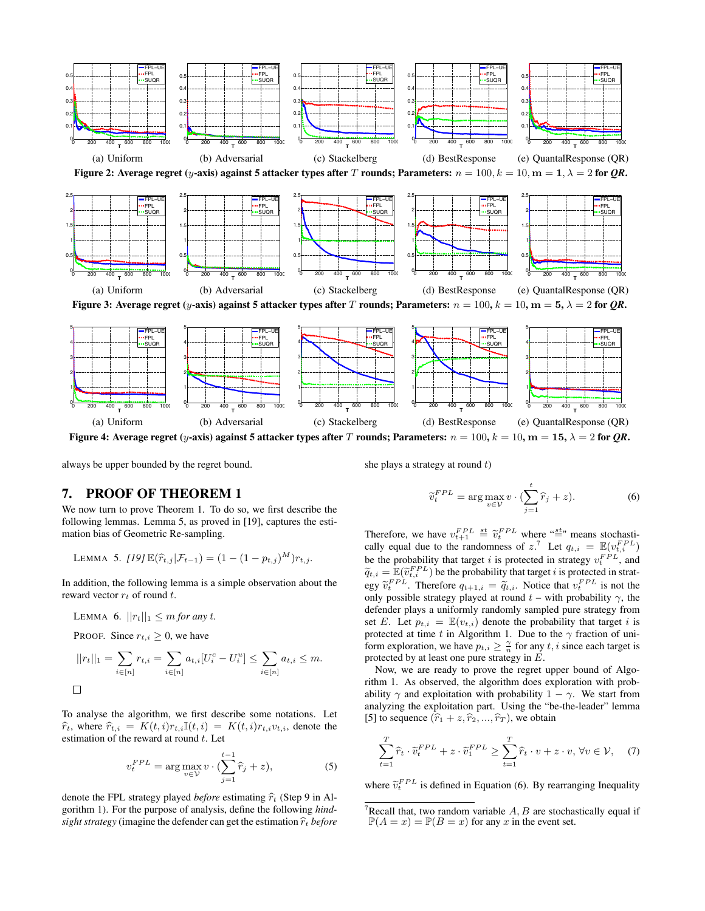

Figure 4: Average regret (*y*-axis) against 5 attacker types after *T* rounds; Parameters:  $n = 100, k = 10, m = 15, \lambda = 2$  for *QR*.

always be upper bounded by the regret bound.

she plays a strategy at round *t*)

 $\sim$ *FPL* 

# 7. PROOF OF THEOREM 1

We now turn to prove Theorem 1. To do so, we first describe the following lemmas. Lemma 5, as proved in [19], captures the estimation bias of Geometric Re-sampling.

LEMMA 5. [19] 
$$
\mathbb{E}(\hat{r}_{t,j}|\mathcal{F}_{t-1}) = (1 - (1 - p_{t,j})^M)r_{t,j}
$$
.

In addition, the following lemma is a simple observation about the reward vector *r<sup>t</sup>* of round *t*.

LEMMA 6. 
$$
||r_t||_1 \leq m
$$
 for any t.

PROOF. Since  $r_{t,i} \geq 0$ , we have

$$
||r_t||_1 = \sum_{i \in [n]} r_{t,i} = \sum_{i \in [n]} a_{t,i} [U_i^c - U_i^u] \le \sum_{i \in [n]} a_{t,i} \le m.
$$

To analyse the algorithm, we first describe some notations. Let  $\hat{r}_t$ , where  $\hat{r}_{t,i} = K(t,i)r_{t,i}\mathbb{I}(t,i) = K(t,i)r_{t,i}v_{t,i}$ , denote the estimation of the reward at round *t*. Let

$$
v_t^{FPL} = \arg\max_{v \in \mathcal{V}} v \cdot (\sum_{j=1}^{t-1} \hat{r}_j + z), \tag{5}
$$

denote the FPL strategy played *before* estimating  $\hat{r}_t$  (Step 9 in Algorithm 1). For the purpose of analysis, define the following *hindsight strategy* (imagine the defender can get the estimation  $\hat{r}_t$  *before* 

$$
\widetilde{v}_t^{FPL} = \arg \max_{v \in \mathcal{V}} v \cdot (\sum_{j=1} \widehat{r}_j + z). \tag{6}
$$
  
the value  $v_{t+1}^{FPL} \leq \widetilde{v}_t^{FPL}$  where " $\leq$ " means stochasti-

 $\lambda$ <sup>t</sup>

Therefore, we  $F_{t+1}^{PL} \stackrel{\text{st}}{=} \widetilde{v}_t^{FPL}$  where " $\stackrel{\text{st}}{=}$  $\stackrel{\text{st}}{=}$ " means stochastically equal due to the randomness of  $z$ <sup>7</sup>. Let  $q_{t,i} = \mathbb{E}(v_{t,i}^{FPL})$ be the probability that target *i* is protected in strategy  $v_t^{FPL}$ , and  $\widetilde{q}_{t,i} = \mathbb{E}(\widetilde{v}_{t,i}^{FPL})$  be the probability that target *i* is protected in strategy  $\tilde{v}_t^{FPL}$ . Therefore  $q_{t+1,i} = \tilde{q}_{t,i}$ . Notice that  $v_t^{FPL}$  is not the only possible strategy played at round  $t$  – with probability  $\gamma$ , the defender plays a uniformly randomly sampled pure strategy from set *E*. Let  $p_{t,i} = \mathbb{E}(v_{t,i})$  denote the probability that target *i* is protected at time t in Algorithm 1. Due to the  $\gamma$  fraction of uniform exploration, we have  $p_{t,i} \geq \frac{\gamma}{n}$  for any  $t, i$  since each target is protected by at least one pure strategy in *E*.

Now, we are ready to prove the regret upper bound of Algorithm 1. As observed, the algorithm does exploration with probability  $\gamma$  and exploitation with probability  $1 - \gamma$ . We start from analyzing the exploitation part. Using the "be-the-leader" lemma [5] to sequence  $(\hat{r}_1 + z, \hat{r}_2, ..., \hat{r}_T)$ , we obtain

$$
\sum_{t=1}^{T} \widehat{r}_t \cdot \widetilde{v}_t^{FPL} + z \cdot \widetilde{v}_1^{FPL} \ge \sum_{t=1}^{T} \widehat{r}_t \cdot v + z \cdot v, \,\forall v \in \mathcal{V}, \quad (7)
$$

where  $\tilde{v}_t^{FPL}$  is defined in Equation (6). By rearranging Inequality

<sup>&</sup>lt;sup>7</sup>Recall that, two random variable  $A, B$  are stochastically equal if  $\mathbb{P}(A = x) = \mathbb{P}(B = x)$  for any *x* in the event set.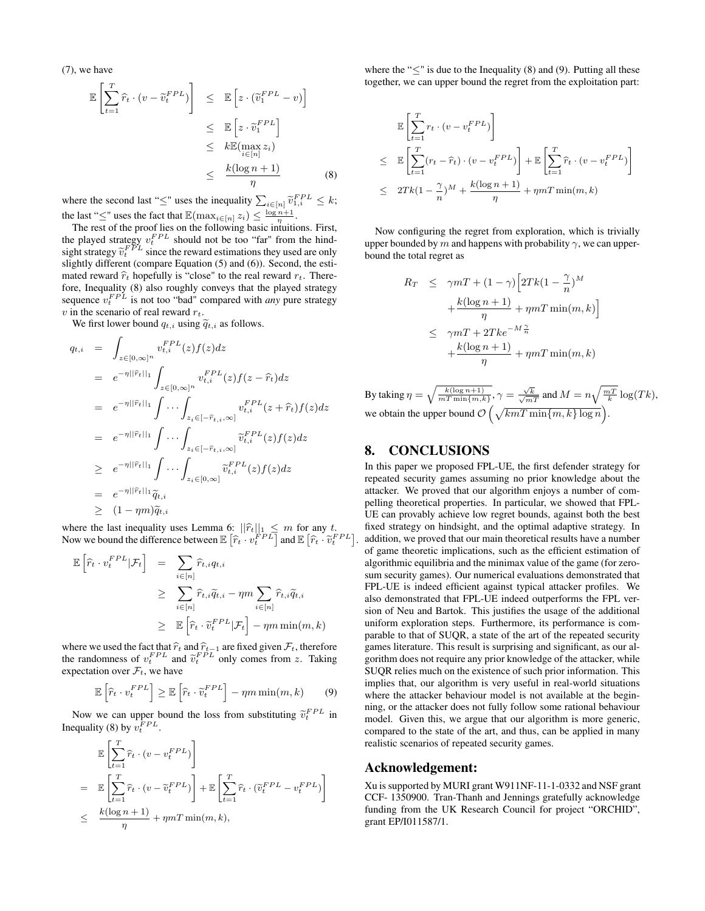(7), we have

$$
\mathbb{E}\left[\sum_{t=1}^{T} \widehat{r}_{t} \cdot (v - \widetilde{v}_{t}^{FPL})\right] \leq \mathbb{E}\left[z \cdot (\widetilde{v}_{1}^{FPL} - v)\right]
$$
\n
$$
\leq \mathbb{E}\left[z \cdot \widetilde{v}_{1}^{FPL}\right]
$$
\n
$$
\leq k \mathbb{E}(\max_{i \in [n]} z_{i})
$$
\n
$$
\leq \frac{k(\log n + 1)}{\eta}
$$
\n(8)

where the second last " $\leq$ " uses the inequality  $\sum_{i \in [n]} \tilde{v}_{1,i}^{FPL} \leq k$ ; the last " $\leq$ " uses the fact that  $\mathbb{E}(\max_{i \in [n]} z_i) \leq \frac{\log n + 1}{\eta}$ .

The rest of the proof lies on the following basic intuitions. First, the played strategy  $v_t^{FPL}$  should not be too "far" from the hindsight strategy  $\tilde{v}_t^{FPL}$  since the reward estimations they used are only alightly different (compare Equation  $(5)$  and  $(6)$ ). Second, the estislightly different (compare Equation (5) and (6)). Second, the estimated reward  $\hat{r}_t$  hopefully is "close" to the real reward  $r_t$ . Therefore, Inequality (8) also roughly conveys that the played strategy sequence  $v_t^{FPL}$  is not too "bad" compared with *any* pure strategy *v* in the scenario of real reward *rt*.

We first lower bound  $q_{t,i}$  using  $\widetilde{q}_{t,i}$  as follows.

$$
q_{t,i} = \int_{z \in [0,\infty]^n} v_{t,i}^{FPL}(z) f(z) dz
$$
  
\n
$$
= e^{-\eta ||\widehat{r}_t||_1} \int_{z \in [0,\infty]^n} v_{t,i}^{FPL}(z) f(z - \widehat{r}_t) dz
$$
  
\n
$$
= e^{-\eta ||\widehat{r}_t||_1} \int \cdots \int_{z_i \in [-\widehat{r}_{t,i},\infty]} v_{t,i}^{FPL}(z + \widehat{r}_t) f(z) dz
$$
  
\n
$$
= e^{-\eta ||\widehat{r}_t||_1} \int \cdots \int_{z_i \in [-\widehat{r}_{t,i},\infty]} \widetilde{v}_{t,i}^{FPL}(z) f(z) dz
$$
  
\n
$$
\geq e^{-\eta ||\widehat{r}_t||_1} \int \cdots \int_{z_i \in [0,\infty]} \widetilde{v}_{t,i}^{FPL}(z) f(z) dz
$$
  
\n
$$
= e^{-\eta ||\widehat{r}_t||_1} \widetilde{q}_{t,i}
$$
  
\n
$$
\geq (1 - \eta m) \widetilde{q}_{t,i}
$$

where the last inequality uses Lemma 6:  $||\hat{r}_t||_1 \leq m$  for any t.<br>Now we bound the difference between  $\mathbb{E}[\hat{r}_t \cdot v_t^{FPL}]$  and  $\mathbb{E}[\hat{r}_t \cdot \tilde{v}_t^{FPL}]$ .

$$
\mathbb{E}\left[\hat{r}_t \cdot v_t^{FPL} | \mathcal{F}_t\right] = \sum_{i \in [n]} \hat{r}_{t,i} q_{t,i}
$$
\n
$$
\geq \sum_{i \in [n]} \hat{r}_{t,i} \tilde{q}_{t,i} - \eta m \sum_{i \in [n]} \hat{r}_{t,i} \tilde{q}_{t,i}
$$
\n
$$
\geq \mathbb{E}\left[\hat{r}_t \cdot \tilde{v}_t^{FPL} | \mathcal{F}_t\right] - \eta m \min(m, k)
$$

where we used the fact that  $\hat{r}_t$  and  $\hat{r}_{t-1}$  are fixed given  $\mathcal{F}_t$ , therefore the randomness of  $v_t^{FPL}$  and  $\tilde{v}_t^{FPL}$  only comes from *z*. Taking proportion  $\tilde{r}_t$  on  $\tilde{r}_t$  on  $\tilde{r}_t$ expectation over  $\mathcal{F}_t$ , we have

$$
\mathbb{E}\left[\hat{r}_t \cdot v_t^{FPL}\right] \ge \mathbb{E}\left[\hat{r}_t \cdot \tilde{v}_t^{FPL}\right] - \eta m \min(m, k) \tag{9}
$$

Now we can upper bound the loss from substituting  $\tilde{v}_t^{FPL}$  in Inequality (8) by  $v_t^{FPL}$ .

$$
\mathbb{E}\left[\sum_{t=1}^{T} \hat{r}_t \cdot (v - v_t^{FPL})\right]
$$
\n
$$
= \mathbb{E}\left[\sum_{t=1}^{T} \hat{r}_t \cdot (v - \tilde{v}_t^{FPL})\right] + \mathbb{E}\left[\sum_{t=1}^{T} \hat{r}_t \cdot (\tilde{v}_t^{FPL} - v_t^{FPL})\right]
$$
\n
$$
\leq \frac{k(\log n + 1)}{\eta} + \eta m T \min(m, k),
$$

where the " $\lt"$ " is due to the Inequality (8) and (9). Putting all these together, we can upper bound the regret from the exploitation part:

$$
\mathbb{E}\left[\sum_{t=1}^{T} r_t \cdot (v - v_t^{FPL})\right]
$$
\n
$$
\leq \mathbb{E}\left[\sum_{t=1}^{T} (r_t - \hat{r}_t) \cdot (v - v_t^{FPL})\right] + \mathbb{E}\left[\sum_{t=1}^{T} \hat{r}_t \cdot (v - v_t^{FPL})\right]
$$
\n
$$
\leq 2Tk(1 - \frac{\gamma}{n})^M + \frac{k(\log n + 1)}{\eta} + \eta mT \min(m, k)
$$

Now configuring the regret from exploration, which is trivially upper bounded by *m* and happens with probability  $\gamma$ , we can upperbound the total regret as

$$
R_T \leq \gamma mT + (1 - \gamma) \left[ 2Tk(1 - \frac{\gamma}{n})^M + \frac{k(\log n + 1)}{\eta} + \eta mT \min(m, k) \right]
$$
  

$$
\leq \gamma mT + 2Tk e^{-M \frac{\gamma}{n}}
$$
  

$$
+ \frac{k(\log n + 1)}{\eta} + \eta mT \min(m, k)
$$

By taking  $\eta = \sqrt{\frac{k(\log n + 1)}{mT \min\{m, k\}}}, \gamma = \frac{\sqrt{k}}{\sqrt{mT}}$  and  $M = n\sqrt{\frac{mT}{k}} \log(Tk)$ , we obtain the upper bound  $\mathcal{O}\left(\sqrt{kmT\min\{m,k\}\log n}\right)$ .

# 8. CONCLUSIONS

In this paper we proposed FPL-UE, the first defender strategy for repeated security games assuming no prior knowledge about the attacker. We proved that our algorithm enjoys a number of compelling theoretical properties. In particular, we showed that FPL-UE can provably achieve low regret bounds, against both the best fixed strategy on hindsight, and the optimal adaptive strategy. In addition, we proved that our main theoretical results have a number of game theoretic implications, such as the efficient estimation of algorithmic equilibria and the minimax value of the game (for zerosum security games). Our numerical evaluations demonstrated that FPL-UE is indeed efficient against typical attacker profiles. We also demonstrated that FPL-UE indeed outperforms the FPL version of Neu and Bartok. This justifies the usage of the additional uniform exploration steps. Furthermore, its performance is comparable to that of SUQR, a state of the art of the repeated security games literature. This result is surprising and significant, as our algorithm does not require any prior knowledge of the attacker, while SUQR relies much on the existence of such prior information. This implies that, our algorithm is very useful in real-world situations where the attacker behaviour model is not available at the beginning, or the attacker does not fully follow some rational behaviour model. Given this, we argue that our algorithm is more generic, compared to the state of the art, and thus, can be applied in many realistic scenarios of repeated security games.

#### Acknowledgement:

Xu is supported by MURI grant W911NF-11-1-0332 and NSF grant CCF- 1350900. Tran-Thanh and Jennings gratefully acknowledge funding from the UK Research Council for project "ORCHID", grant EP/I011587/1.